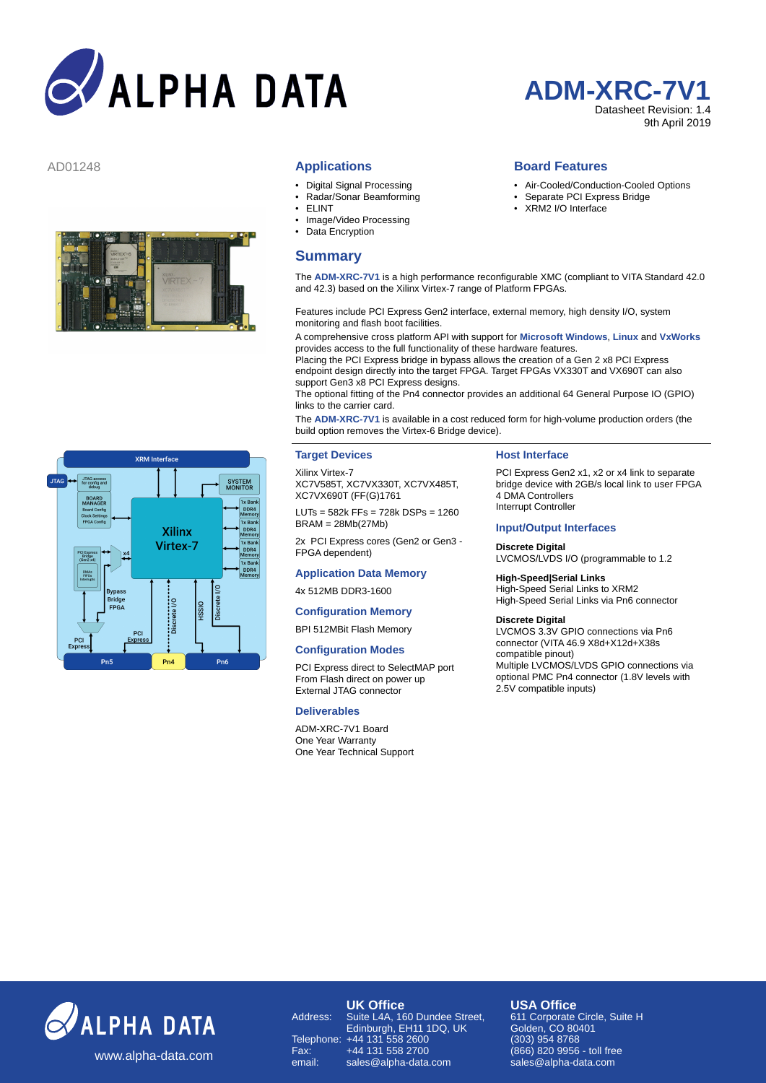# **ALPHA DATA**



#### **Applications**

- Digital Signal Processing
- Radar/Sonar Beamforming
- ELINT
- Image/Video Processing
- Data Encryption

# **Summary**



### AD01248 **Board Features**

- Air-Cooled/Conduction-Cooled Options
- Separate PCI Express Bridge
- XRM2 I/O Interface

The **ADM-XRC-7V1** is a high performance reconfigurable XMC (compliant to VITA Standard 42.0 and 42.3) based on the Xilinx Virtex-7 range of Platform FPGAs.

Features include PCI Express Gen2 interface, external memory, high density I/O, system monitoring and flash boot facilities.

A comprehensive cross platform API with support for **Microsoft Windows**, **Linux** and **VxWorks** provides access to the full functionality of these hardware features.

Placing the PCI Express bridge in bypass allows the creation of a Gen 2 x8 PCI Express endpoint design directly into the target FPGA. Target FPGAs VX330T and VX690T can also support Gen3 x8 PCI Express designs.

The optional fitting of the Pn4 connector provides an additional 64 General Purpose IO (GPIO) links to the carrier card.

The **ADM-XRC-7V1** is available in a cost reduced form for high-volume production orders (the build option removes the Virtex-6 Bridge device).

#### **Target Devices**

Xilinx Virtex-7 XC7V585T, XC7VX330T, XC7VX485T, XC7VX690T (FF(G)1761

LUTs = 582k FFs = 728k DSPs = 1260 BRAM = 28Mb(27Mb)

2x PCI Express cores (Gen2 or Gen3 - FPGA dependent)

# **Application Data Memory**

4x 512MB DDR3-1600

# **Configuration Memory**

#### BPI 512MBit Flash Memory

#### **Configuration Modes**

PCI Express direct to SelectMAP port From Flash direct on power up External JTAG connector

# **Deliverables**

ADM-XRC-7V1 Board One Year Warranty One Year Technical Support

#### **Host Interface**

PCI Express Gen2 x1, x2 or x4 link to separat bridge device with 2GB/s local link to user FPGA 4 DMA Controllers Interrupt Controller

# **Input/Output Interfaces**

**Discrete Digital** LVCMOS/LVDS I/O (programmable to 1.2

**High-Speed|Serial Links** High-Speed Serial Links to XRM2 High-Speed Serial Links via Pn6 connector

#### **Discrete Digital**

LVCMOS 3.3V GPIO connections via Pn6 connector (VITA 46.9 X8d+X12d+X38s compatible pinout)

Multiple LVCMOS/LVDS GPIO connections via optional PMC Pn4 connector (1.8V levels with 2.5V compatible inputs)



Fax: +44 131 558 2700 email: sales@alpha-data.com **USA Office**

611 Corporate Circle, Suite H Golden, CO 80401 303081, CO 66<br>909) 954 8769 (866) 820 9956 - toll free